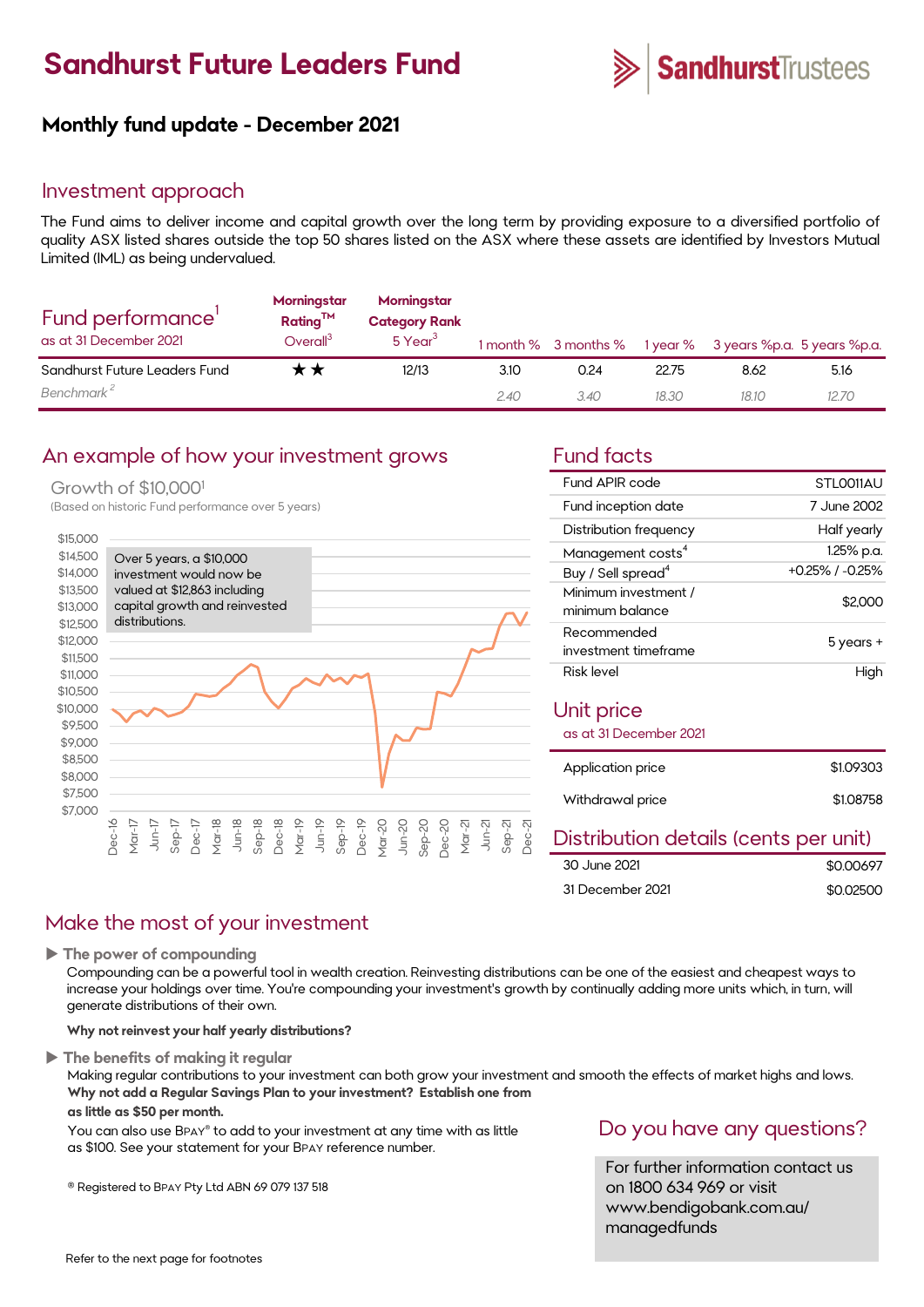# **Sandhurst Future Leaders Fund**



### **Monthly fund update - December 2021**

### Investment approach

The Fund aims to deliver income and capital growth over the long term by providing exposure to a diversified portfolio of quality ASX listed shares outside the top 50 shares listed on the ASX where these assets are identified by Investors Mutual Limited (IML) as being undervalued.

| Fund performance'<br>as at 31 December 2021 | Morningstar<br>$Rating^{TM}$<br>Overall <sup>3</sup> | Morningstar<br><b>Category Rank</b><br>5 Year <sup>3</sup> |      |      |       | 1 month % 3 months % 1 year % 3 years %p.a. 5 years %p.a. |      |
|---------------------------------------------|------------------------------------------------------|------------------------------------------------------------|------|------|-------|-----------------------------------------------------------|------|
| Sandhurst Future Leaders Fund               | r ★                                                  | 12/13                                                      | 3.10 | 0.24 | 22.75 | 8.62                                                      | 5.16 |
| Benchmark <sup>2</sup>                      |                                                      |                                                            | 2.40 | 3.40 | 18.30 | 18.10                                                     | 1270 |

### An example of how your investment grows Fund facts

### Growth of \$10,000<sup>1</sup>

(Based on historic Fund performance over 5 years)



| Fund APIR code                          | STLO011AU             |  |  |
|-----------------------------------------|-----------------------|--|--|
| Fund inception date                     | 7 June 2002           |  |  |
| Distribution frequency                  | Half yearly           |  |  |
| Management costs <sup>4</sup>           | 1.25% p.a.            |  |  |
| Buy / Sell spread <sup>4</sup>          | $+0.25\%$ / $-0.25\%$ |  |  |
| Minimum investment /<br>minimum balance | \$2,000               |  |  |
| Recommended                             | 5 years +             |  |  |
| investment timeframe                    |                       |  |  |
| Risk level                              | High                  |  |  |
| Unit price<br>as at 31 December 2021    |                       |  |  |
| Application price                       | \$1.09303             |  |  |
| Withdrawal price                        | \$1.08758             |  |  |
| Dietribution dataile (cante nar unit)   |                       |  |  |

#### Distribution details (cents per unit)  $\overline{0.00007}$

| 30 June 2021     | \$0.00697 |
|------------------|-----------|
| 31 December 2021 | \$0.02500 |

### Make the most of your investment

**The power of compounding**

Compounding can be a powerful tool in wealth creation. Reinvesting distributions can be one of the easiest and cheapest ways to increase your holdings over time. You're compounding your investment's growth by continually adding more units which, in turn, will generate distributions of their own.

#### **Why not reinvest your half yearly distributions?**

**The benefits of making it regular**

Making regular contributions to your investment can both grow your investment and smooth the effects of market highs and lows. **Why not add a Regular Savings Plan to your investment? Establish one from**

#### **as little as \$50 per month.**

You can also use BPAY® to add to your investment at any time with as little as \$100. See your statement for your BPAY reference number.

® Registered to BPAY Pty Ltd ABN 69 079 137 518

### Do you have any questions?

For further information contact us on 1800 634 969 or visit www.bendigobank.com.au/ managedfunds